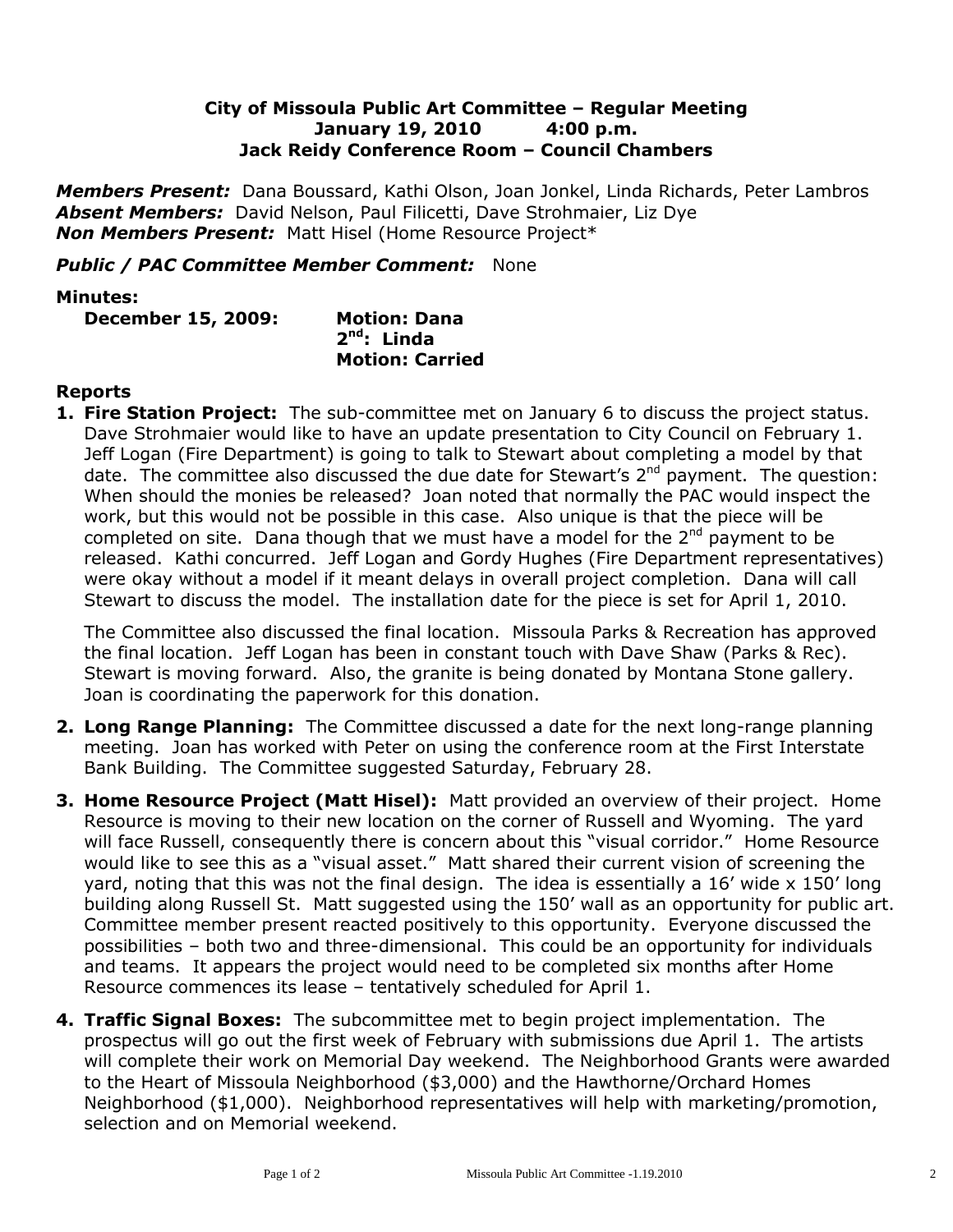## **City of Missoula Public Art Committee – Regular Meeting January 19, 2010 4:00 p.m. Jack Reidy Conference Room – Council Chambers**

*Members Present:* Dana Boussard, Kathi Olson, Joan Jonkel, Linda Richards, Peter Lambros *Absent Members:* David Nelson, Paul Filicetti, Dave Strohmaier, Liz Dye *Non Members Present:* Matt Hisel (Home Resource Project\*

## *Public / PAC Committee Member Comment:* None

## **Minutes:**

**December 15, 2009: Motion: Dana**

**2 nd: Linda Motion: Carried**

## **Reports**

**1. Fire Station Project:** The sub-committee met on January 6 to discuss the project status. Dave Strohmaier would like to have an update presentation to City Council on February 1. Jeff Logan (Fire Department) is going to talk to Stewart about completing a model by that date. The committee also discussed the due date for Stewart's  $2^{nd}$  payment. The question: When should the monies be released? Joan noted that normally the PAC would inspect the work, but this would not be possible in this case. Also unique is that the piece will be completed on site. Dana though that we must have a model for the  $2<sup>nd</sup>$  payment to be released. Kathi concurred. Jeff Logan and Gordy Hughes (Fire Department representatives) were okay without a model if it meant delays in overall project completion. Dana will call Stewart to discuss the model. The installation date for the piece is set for April 1, 2010.

The Committee also discussed the final location. Missoula Parks & Recreation has approved the final location. Jeff Logan has been in constant touch with Dave Shaw (Parks & Rec). Stewart is moving forward. Also, the granite is being donated by Montana Stone gallery. Joan is coordinating the paperwork for this donation.

- **2. Long Range Planning:** The Committee discussed a date for the next long-range planning meeting. Joan has worked with Peter on using the conference room at the First Interstate Bank Building. The Committee suggested Saturday, February 28.
- **3. Home Resource Project (Matt Hisel):** Matt provided an overview of their project. Home Resource is moving to their new location on the corner of Russell and Wyoming. The yard will face Russell, consequently there is concern about this "visual corridor." Home Resource would like to see this as a "visual asset." Matt shared their current vision of screening the yard, noting that this was not the final design. The idea is essentially a 16' wide x 150' long building along Russell St. Matt suggested using the 150' wall as an opportunity for public art. Committee member present reacted positively to this opportunity. Everyone discussed the possibilities – both two and three-dimensional. This could be an opportunity for individuals and teams. It appears the project would need to be completed six months after Home Resource commences its lease – tentatively scheduled for April 1.
- **4. Traffic Signal Boxes:** The subcommittee met to begin project implementation. The prospectus will go out the first week of February with submissions due April 1. The artists will complete their work on Memorial Day weekend. The Neighborhood Grants were awarded to the Heart of Missoula Neighborhood (\$3,000) and the Hawthorne/Orchard Homes Neighborhood (\$1,000). Neighborhood representatives will help with marketing/promotion, selection and on Memorial weekend.